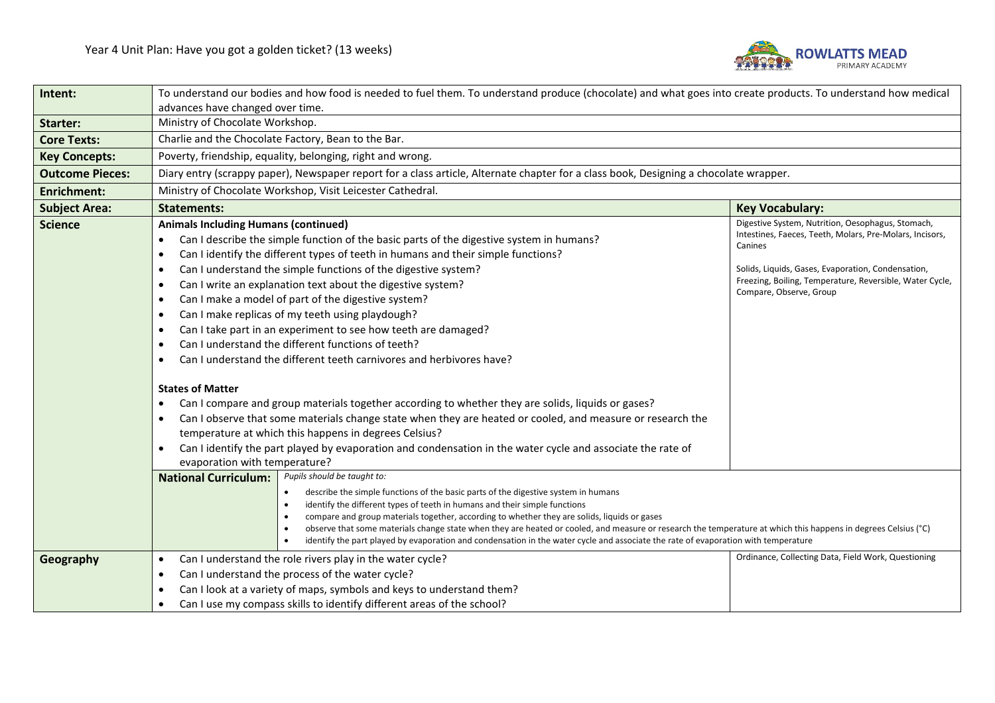

| Intent:                | To understand our bodies and how food is needed to fuel them. To understand produce (chocolate) and what goes into create products. To understand how medical                                                                                                                                                                                                                                                                                                                                                                                                                                                                                                                                                                                                                                                                                                                                                                                                                                                                                                                                                                                                                                                                            |                                                                                                                                                                                                                                                                       |  |
|------------------------|------------------------------------------------------------------------------------------------------------------------------------------------------------------------------------------------------------------------------------------------------------------------------------------------------------------------------------------------------------------------------------------------------------------------------------------------------------------------------------------------------------------------------------------------------------------------------------------------------------------------------------------------------------------------------------------------------------------------------------------------------------------------------------------------------------------------------------------------------------------------------------------------------------------------------------------------------------------------------------------------------------------------------------------------------------------------------------------------------------------------------------------------------------------------------------------------------------------------------------------|-----------------------------------------------------------------------------------------------------------------------------------------------------------------------------------------------------------------------------------------------------------------------|--|
|                        | advances have changed over time.                                                                                                                                                                                                                                                                                                                                                                                                                                                                                                                                                                                                                                                                                                                                                                                                                                                                                                                                                                                                                                                                                                                                                                                                         |                                                                                                                                                                                                                                                                       |  |
| <b>Starter:</b>        | Ministry of Chocolate Workshop.                                                                                                                                                                                                                                                                                                                                                                                                                                                                                                                                                                                                                                                                                                                                                                                                                                                                                                                                                                                                                                                                                                                                                                                                          |                                                                                                                                                                                                                                                                       |  |
| <b>Core Texts:</b>     | Charlie and the Chocolate Factory, Bean to the Bar.                                                                                                                                                                                                                                                                                                                                                                                                                                                                                                                                                                                                                                                                                                                                                                                                                                                                                                                                                                                                                                                                                                                                                                                      |                                                                                                                                                                                                                                                                       |  |
| <b>Key Concepts:</b>   | Poverty, friendship, equality, belonging, right and wrong.                                                                                                                                                                                                                                                                                                                                                                                                                                                                                                                                                                                                                                                                                                                                                                                                                                                                                                                                                                                                                                                                                                                                                                               |                                                                                                                                                                                                                                                                       |  |
| <b>Outcome Pieces:</b> | Diary entry (scrappy paper), Newspaper report for a class article, Alternate chapter for a class book, Designing a chocolate wrapper.                                                                                                                                                                                                                                                                                                                                                                                                                                                                                                                                                                                                                                                                                                                                                                                                                                                                                                                                                                                                                                                                                                    |                                                                                                                                                                                                                                                                       |  |
| <b>Enrichment:</b>     | Ministry of Chocolate Workshop, Visit Leicester Cathedral.                                                                                                                                                                                                                                                                                                                                                                                                                                                                                                                                                                                                                                                                                                                                                                                                                                                                                                                                                                                                                                                                                                                                                                               |                                                                                                                                                                                                                                                                       |  |
| <b>Subject Area:</b>   | <b>Statements:</b>                                                                                                                                                                                                                                                                                                                                                                                                                                                                                                                                                                                                                                                                                                                                                                                                                                                                                                                                                                                                                                                                                                                                                                                                                       | <b>Key Vocabulary:</b>                                                                                                                                                                                                                                                |  |
| <b>Science</b>         | <b>Animals Including Humans (continued)</b><br>Can I describe the simple function of the basic parts of the digestive system in humans?<br>$\bullet$<br>Can I identify the different types of teeth in humans and their simple functions?<br>$\bullet$<br>Can I understand the simple functions of the digestive system?<br>$\bullet$<br>Can I write an explanation text about the digestive system?<br>$\bullet$<br>Can I make a model of part of the digestive system?<br>$\bullet$<br>Can I make replicas of my teeth using playdough?<br>$\bullet$<br>Can I take part in an experiment to see how teeth are damaged?<br>Can I understand the different functions of teeth?<br>Can I understand the different teeth carnivores and herbivores have?<br>$\bullet$<br><b>States of Matter</b><br>Can I compare and group materials together according to whether they are solids, liquids or gases?<br>Can I observe that some materials change state when they are heated or cooled, and measure or research the<br>$\bullet$<br>temperature at which this happens in degrees Celsius?<br>Can I identify the part played by evaporation and condensation in the water cycle and associate the rate of<br>evaporation with temperature? | Digestive System, Nutrition, Oesophagus, Stomach,<br>Intestines, Faeces, Teeth, Molars, Pre-Molars, Incisors,<br>Canines<br>Solids, Liquids, Gases, Evaporation, Condensation,<br>Freezing, Boiling, Temperature, Reversible, Water Cycle,<br>Compare, Observe, Group |  |
|                        | Pupils should be taught to:<br><b>National Curriculum:</b>                                                                                                                                                                                                                                                                                                                                                                                                                                                                                                                                                                                                                                                                                                                                                                                                                                                                                                                                                                                                                                                                                                                                                                               |                                                                                                                                                                                                                                                                       |  |
|                        | describe the simple functions of the basic parts of the digestive system in humans<br>$\bullet$<br>identify the different types of teeth in humans and their simple functions<br>$\bullet$<br>compare and group materials together, according to whether they are solids, liquids or gases<br>$\bullet$<br>observe that some materials change state when they are heated or cooled, and measure or research the temperature at which this happens in degrees Celsius (°C)<br>$\bullet$<br>identify the part played by evaporation and condensation in the water cycle and associate the rate of evaporation with temperature                                                                                                                                                                                                                                                                                                                                                                                                                                                                                                                                                                                                             |                                                                                                                                                                                                                                                                       |  |
| Geography              | Can I understand the role rivers play in the water cycle?<br>$\bullet$                                                                                                                                                                                                                                                                                                                                                                                                                                                                                                                                                                                                                                                                                                                                                                                                                                                                                                                                                                                                                                                                                                                                                                   | Ordinance, Collecting Data, Field Work, Questioning                                                                                                                                                                                                                   |  |
|                        | Can I understand the process of the water cycle?<br>$\bullet$                                                                                                                                                                                                                                                                                                                                                                                                                                                                                                                                                                                                                                                                                                                                                                                                                                                                                                                                                                                                                                                                                                                                                                            |                                                                                                                                                                                                                                                                       |  |
|                        | Can I look at a variety of maps, symbols and keys to understand them?<br>$\bullet$                                                                                                                                                                                                                                                                                                                                                                                                                                                                                                                                                                                                                                                                                                                                                                                                                                                                                                                                                                                                                                                                                                                                                       |                                                                                                                                                                                                                                                                       |  |
|                        | Can I use my compass skills to identify different areas of the school?<br>٠                                                                                                                                                                                                                                                                                                                                                                                                                                                                                                                                                                                                                                                                                                                                                                                                                                                                                                                                                                                                                                                                                                                                                              |                                                                                                                                                                                                                                                                       |  |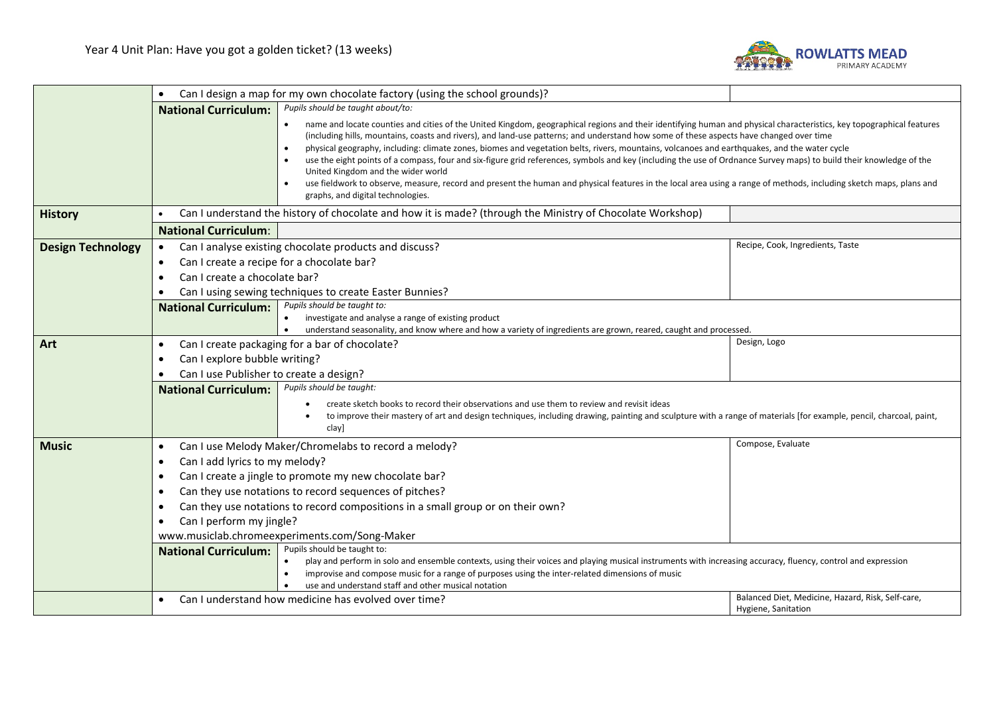

|                          | $\bullet$                                                                                                                                                                                                                                                                                                            | Can I design a map for my own chocolate factory (using the school grounds)?                                                                                                                                                                                                                                                                                                                                                                                                                                                                                                                                                                                                                                                                                                                                                                                                             |                                  |  |
|--------------------------|----------------------------------------------------------------------------------------------------------------------------------------------------------------------------------------------------------------------------------------------------------------------------------------------------------------------|-----------------------------------------------------------------------------------------------------------------------------------------------------------------------------------------------------------------------------------------------------------------------------------------------------------------------------------------------------------------------------------------------------------------------------------------------------------------------------------------------------------------------------------------------------------------------------------------------------------------------------------------------------------------------------------------------------------------------------------------------------------------------------------------------------------------------------------------------------------------------------------------|----------------------------------|--|
|                          | <b>National Curriculum:</b>                                                                                                                                                                                                                                                                                          | Pupils should be taught about/to:                                                                                                                                                                                                                                                                                                                                                                                                                                                                                                                                                                                                                                                                                                                                                                                                                                                       |                                  |  |
|                          |                                                                                                                                                                                                                                                                                                                      | name and locate counties and cities of the United Kingdom, geographical regions and their identifying human and physical characteristics, key topographical features<br>(including hills, mountains, coasts and rivers), and land-use patterns; and understand how some of these aspects have changed over time<br>physical geography, including: climate zones, biomes and vegetation belts, rivers, mountains, volcanoes and earthquakes, and the water cycle<br>use the eight points of a compass, four and six-figure grid references, symbols and key (including the use of Ordnance Survey maps) to build their knowledge of the<br>United Kingdom and the wider world<br>use fieldwork to observe, measure, record and present the human and physical features in the local area using a range of methods, including sketch maps, plans and<br>graphs, and digital technologies. |                                  |  |
| <b>History</b>           | Can I understand the history of chocolate and how it is made? (through the Ministry of Chocolate Workshop)<br><b>National Curriculum:</b>                                                                                                                                                                            |                                                                                                                                                                                                                                                                                                                                                                                                                                                                                                                                                                                                                                                                                                                                                                                                                                                                                         |                                  |  |
|                          |                                                                                                                                                                                                                                                                                                                      |                                                                                                                                                                                                                                                                                                                                                                                                                                                                                                                                                                                                                                                                                                                                                                                                                                                                                         |                                  |  |
| <b>Design Technology</b> | $\bullet$                                                                                                                                                                                                                                                                                                            | Can I analyse existing chocolate products and discuss?                                                                                                                                                                                                                                                                                                                                                                                                                                                                                                                                                                                                                                                                                                                                                                                                                                  | Recipe, Cook, Ingredients, Taste |  |
|                          | Can I create a recipe for a chocolate bar?<br>$\bullet$                                                                                                                                                                                                                                                              |                                                                                                                                                                                                                                                                                                                                                                                                                                                                                                                                                                                                                                                                                                                                                                                                                                                                                         |                                  |  |
|                          | Can I create a chocolate bar?                                                                                                                                                                                                                                                                                        |                                                                                                                                                                                                                                                                                                                                                                                                                                                                                                                                                                                                                                                                                                                                                                                                                                                                                         |                                  |  |
|                          |                                                                                                                                                                                                                                                                                                                      | Can I using sewing techniques to create Easter Bunnies?                                                                                                                                                                                                                                                                                                                                                                                                                                                                                                                                                                                                                                                                                                                                                                                                                                 |                                  |  |
|                          | <b>National Curriculum:</b>                                                                                                                                                                                                                                                                                          | Pupils should be taught to:                                                                                                                                                                                                                                                                                                                                                                                                                                                                                                                                                                                                                                                                                                                                                                                                                                                             |                                  |  |
|                          |                                                                                                                                                                                                                                                                                                                      | investigate and analyse a range of existing product<br>understand seasonality, and know where and how a variety of ingredients are grown, reared, caught and processed.<br>$\bullet$                                                                                                                                                                                                                                                                                                                                                                                                                                                                                                                                                                                                                                                                                                    |                                  |  |
| Art                      | $\bullet$                                                                                                                                                                                                                                                                                                            | Design, Logo<br>Can I create packaging for a bar of chocolate?                                                                                                                                                                                                                                                                                                                                                                                                                                                                                                                                                                                                                                                                                                                                                                                                                          |                                  |  |
|                          | Can I explore bubble writing?<br>Can I use Publisher to create a design?                                                                                                                                                                                                                                             |                                                                                                                                                                                                                                                                                                                                                                                                                                                                                                                                                                                                                                                                                                                                                                                                                                                                                         |                                  |  |
|                          |                                                                                                                                                                                                                                                                                                                      |                                                                                                                                                                                                                                                                                                                                                                                                                                                                                                                                                                                                                                                                                                                                                                                                                                                                                         |                                  |  |
|                          | <b>National Curriculum:</b>                                                                                                                                                                                                                                                                                          | Pupils should be taught:                                                                                                                                                                                                                                                                                                                                                                                                                                                                                                                                                                                                                                                                                                                                                                                                                                                                |                                  |  |
|                          |                                                                                                                                                                                                                                                                                                                      | create sketch books to record their observations and use them to review and revisit ideas                                                                                                                                                                                                                                                                                                                                                                                                                                                                                                                                                                                                                                                                                                                                                                                               |                                  |  |
|                          | to improve their mastery of art and design techniques, including drawing, painting and sculpture with a range of materials [for example, pencil, charcoal, paint,                                                                                                                                                    |                                                                                                                                                                                                                                                                                                                                                                                                                                                                                                                                                                                                                                                                                                                                                                                                                                                                                         |                                  |  |
|                          |                                                                                                                                                                                                                                                                                                                      | clay]                                                                                                                                                                                                                                                                                                                                                                                                                                                                                                                                                                                                                                                                                                                                                                                                                                                                                   |                                  |  |
| <b>Music</b>             | Compose, Evaluate<br>Can I use Melody Maker/Chromelabs to record a melody?<br>$\bullet$                                                                                                                                                                                                                              |                                                                                                                                                                                                                                                                                                                                                                                                                                                                                                                                                                                                                                                                                                                                                                                                                                                                                         |                                  |  |
|                          | Can I add lyrics to my melody?<br>$\bullet$<br>Can I create a jingle to promote my new chocolate bar?                                                                                                                                                                                                                |                                                                                                                                                                                                                                                                                                                                                                                                                                                                                                                                                                                                                                                                                                                                                                                                                                                                                         |                                  |  |
|                          |                                                                                                                                                                                                                                                                                                                      |                                                                                                                                                                                                                                                                                                                                                                                                                                                                                                                                                                                                                                                                                                                                                                                                                                                                                         |                                  |  |
|                          | $\bullet$                                                                                                                                                                                                                                                                                                            | Can they use notations to record sequences of pitches?                                                                                                                                                                                                                                                                                                                                                                                                                                                                                                                                                                                                                                                                                                                                                                                                                                  |                                  |  |
|                          | $\bullet$                                                                                                                                                                                                                                                                                                            | Can they use notations to record compositions in a small group or on their own?                                                                                                                                                                                                                                                                                                                                                                                                                                                                                                                                                                                                                                                                                                                                                                                                         |                                  |  |
|                          | Can I perform my jingle?<br>$\bullet$<br>www.musiclab.chromeexperiments.com/Song-Maker<br>Pupils should be taught to:<br><b>National Curriculum:</b><br>play and perform in solo and ensemble contexts, using their voices and playing musical instruments with increasing accuracy, fluency, control and expression |                                                                                                                                                                                                                                                                                                                                                                                                                                                                                                                                                                                                                                                                                                                                                                                                                                                                                         |                                  |  |
|                          |                                                                                                                                                                                                                                                                                                                      |                                                                                                                                                                                                                                                                                                                                                                                                                                                                                                                                                                                                                                                                                                                                                                                                                                                                                         |                                  |  |
|                          |                                                                                                                                                                                                                                                                                                                      |                                                                                                                                                                                                                                                                                                                                                                                                                                                                                                                                                                                                                                                                                                                                                                                                                                                                                         |                                  |  |
|                          |                                                                                                                                                                                                                                                                                                                      | improvise and compose music for a range of purposes using the inter-related dimensions of music                                                                                                                                                                                                                                                                                                                                                                                                                                                                                                                                                                                                                                                                                                                                                                                         |                                  |  |
|                          |                                                                                                                                                                                                                                                                                                                      | use and understand staff and other musical notation<br>Balanced Diet, Medicine, Hazard, Risk, Self-care,<br>Can I understand how medicine has evolved over time?                                                                                                                                                                                                                                                                                                                                                                                                                                                                                                                                                                                                                                                                                                                        |                                  |  |
|                          |                                                                                                                                                                                                                                                                                                                      |                                                                                                                                                                                                                                                                                                                                                                                                                                                                                                                                                                                                                                                                                                                                                                                                                                                                                         | Hygiene, Sanitation              |  |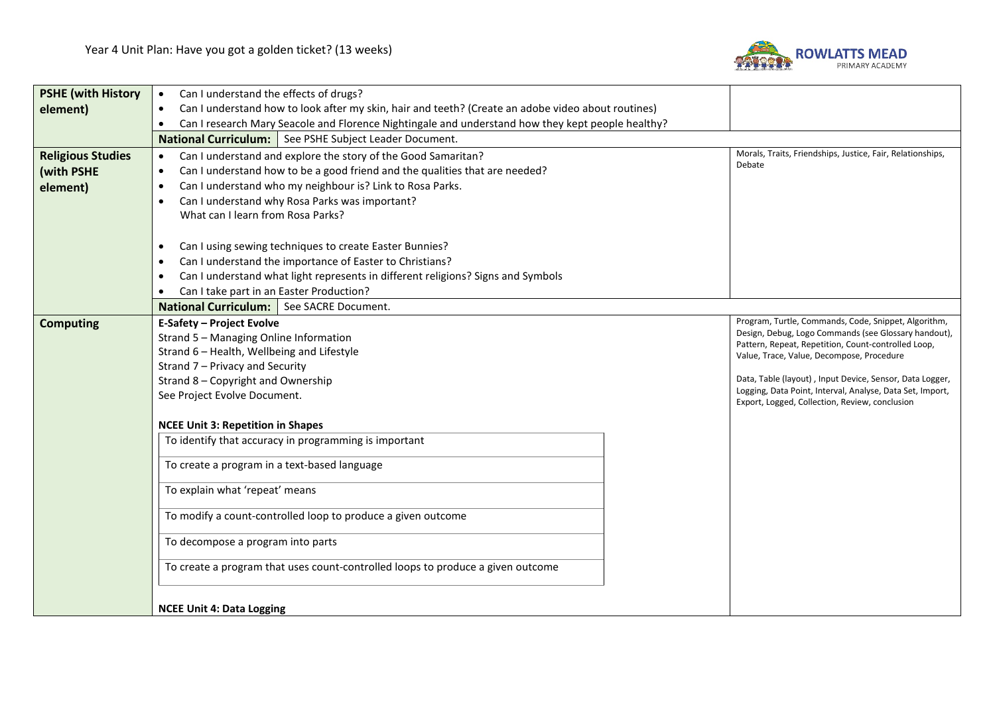

| <b>PSHE (with History</b> | Can I understand the effects of drugs?<br>$\bullet$                                                             |                                                                                                              |  |  |
|---------------------------|-----------------------------------------------------------------------------------------------------------------|--------------------------------------------------------------------------------------------------------------|--|--|
| element)                  | Can I understand how to look after my skin, hair and teeth? (Create an adobe video about routines)<br>$\bullet$ |                                                                                                              |  |  |
|                           | Can I research Mary Seacole and Florence Nightingale and understand how they kept people healthy?<br>$\bullet$  |                                                                                                              |  |  |
|                           | National Curriculum:   See PSHE Subject Leader Document.                                                        |                                                                                                              |  |  |
| <b>Religious Studies</b>  | Can I understand and explore the story of the Good Samaritan?<br>$\bullet$                                      | Morals, Traits, Friendships, Justice, Fair, Relationships,                                                   |  |  |
| (with PSHE                | Can I understand how to be a good friend and the qualities that are needed?<br>$\bullet$                        | Debate                                                                                                       |  |  |
| element)                  | Can I understand who my neighbour is? Link to Rosa Parks.<br>$\bullet$                                          |                                                                                                              |  |  |
|                           | Can I understand why Rosa Parks was important?                                                                  |                                                                                                              |  |  |
|                           | What can I learn from Rosa Parks?                                                                               |                                                                                                              |  |  |
|                           |                                                                                                                 |                                                                                                              |  |  |
|                           | Can I using sewing techniques to create Easter Bunnies?<br>$\bullet$                                            |                                                                                                              |  |  |
|                           | Can I understand the importance of Easter to Christians?                                                        |                                                                                                              |  |  |
|                           | Can I understand what light represents in different religions? Signs and Symbols<br>$\bullet$                   |                                                                                                              |  |  |
|                           | Can I take part in an Easter Production?<br>$\bullet$                                                           |                                                                                                              |  |  |
|                           | National Curriculum:   See SACRE Document.                                                                      |                                                                                                              |  |  |
| <b>Computing</b>          | <b>E-Safety - Project Evolve</b>                                                                                | Program, Turtle, Commands, Code, Snippet, Algorithm,<br>Design, Debug, Logo Commands (see Glossary handout), |  |  |
|                           | Strand 5 - Managing Online Information                                                                          | Pattern, Repeat, Repetition, Count-controlled Loop,                                                          |  |  |
|                           | Strand 6 - Health, Wellbeing and Lifestyle                                                                      | Value, Trace, Value, Decompose, Procedure                                                                    |  |  |
|                           | Strand 7 - Privacy and Security<br>Strand 8 - Copyright and Ownership                                           | Data, Table (layout), Input Device, Sensor, Data Logger,                                                     |  |  |
|                           | See Project Evolve Document.                                                                                    | Logging, Data Point, Interval, Analyse, Data Set, Import,                                                    |  |  |
|                           |                                                                                                                 | Export, Logged, Collection, Review, conclusion                                                               |  |  |
|                           | <b>NCEE Unit 3: Repetition in Shapes</b>                                                                        |                                                                                                              |  |  |
|                           | To identify that accuracy in programming is important                                                           |                                                                                                              |  |  |
|                           |                                                                                                                 |                                                                                                              |  |  |
|                           | To create a program in a text-based language                                                                    |                                                                                                              |  |  |
|                           | To explain what 'repeat' means                                                                                  |                                                                                                              |  |  |
|                           |                                                                                                                 |                                                                                                              |  |  |
|                           | To modify a count-controlled loop to produce a given outcome                                                    |                                                                                                              |  |  |
|                           | To decompose a program into parts                                                                               |                                                                                                              |  |  |
|                           | To create a program that uses count-controlled loops to produce a given outcome                                 |                                                                                                              |  |  |
|                           |                                                                                                                 |                                                                                                              |  |  |
|                           |                                                                                                                 |                                                                                                              |  |  |
|                           |                                                                                                                 |                                                                                                              |  |  |
|                           | <b>NCEE Unit 4: Data Logging</b>                                                                                |                                                                                                              |  |  |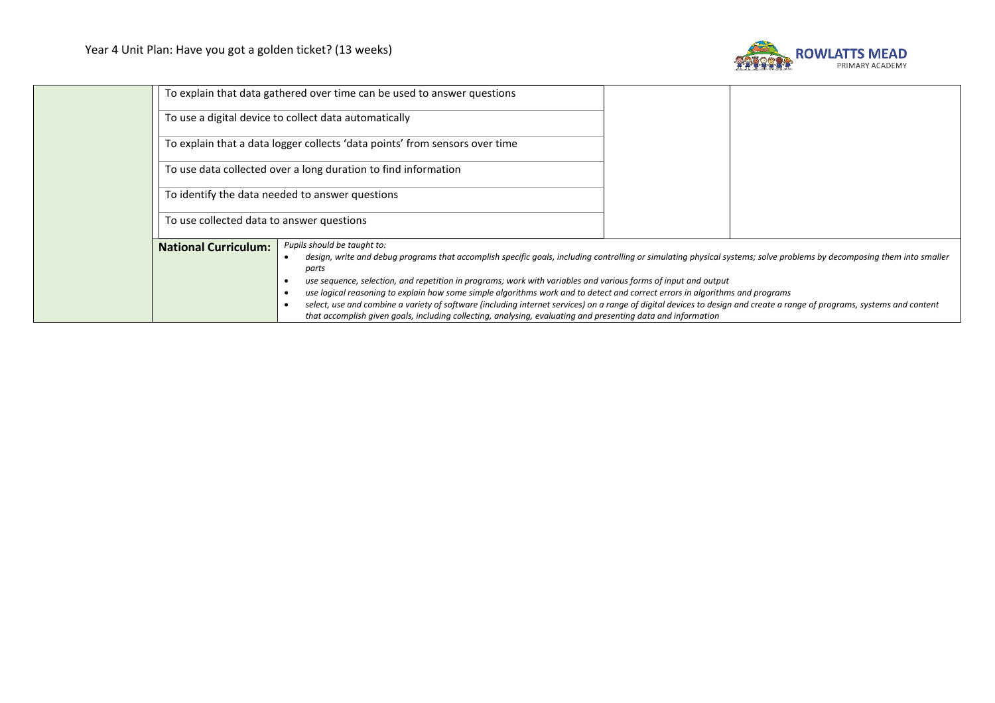

|                             | To explain that data gathered over time can be used to answer questions                                                                                                                                                                                                                                                                                                                                                                                                                                                                                                                                                                                                                                                                                     |
|-----------------------------|-------------------------------------------------------------------------------------------------------------------------------------------------------------------------------------------------------------------------------------------------------------------------------------------------------------------------------------------------------------------------------------------------------------------------------------------------------------------------------------------------------------------------------------------------------------------------------------------------------------------------------------------------------------------------------------------------------------------------------------------------------------|
|                             | To use a digital device to collect data automatically                                                                                                                                                                                                                                                                                                                                                                                                                                                                                                                                                                                                                                                                                                       |
|                             | To explain that a data logger collects 'data points' from sensors over time                                                                                                                                                                                                                                                                                                                                                                                                                                                                                                                                                                                                                                                                                 |
|                             | To use data collected over a long duration to find information                                                                                                                                                                                                                                                                                                                                                                                                                                                                                                                                                                                                                                                                                              |
|                             | To identify the data needed to answer questions                                                                                                                                                                                                                                                                                                                                                                                                                                                                                                                                                                                                                                                                                                             |
|                             | To use collected data to answer questions                                                                                                                                                                                                                                                                                                                                                                                                                                                                                                                                                                                                                                                                                                                   |
| <b>National Curriculum:</b> | Pupils should be taught to:<br>design, write and debug programs that accomplish specific goals, including controlling or simulating physical systems; solve problems by decomposing them into smaller<br>parts<br>use sequence, selection, and repetition in programs; work with variables and various forms of input and output<br>use logical reasoning to explain how some simple algorithms work and to detect and correct errors in algorithms and programs<br>select, use and combine a variety of software (including internet services) on a range of digital devices to design and create a range of programs, systems and content<br>that accomplish given goals, including collecting, analysing, evaluating and presenting data and information |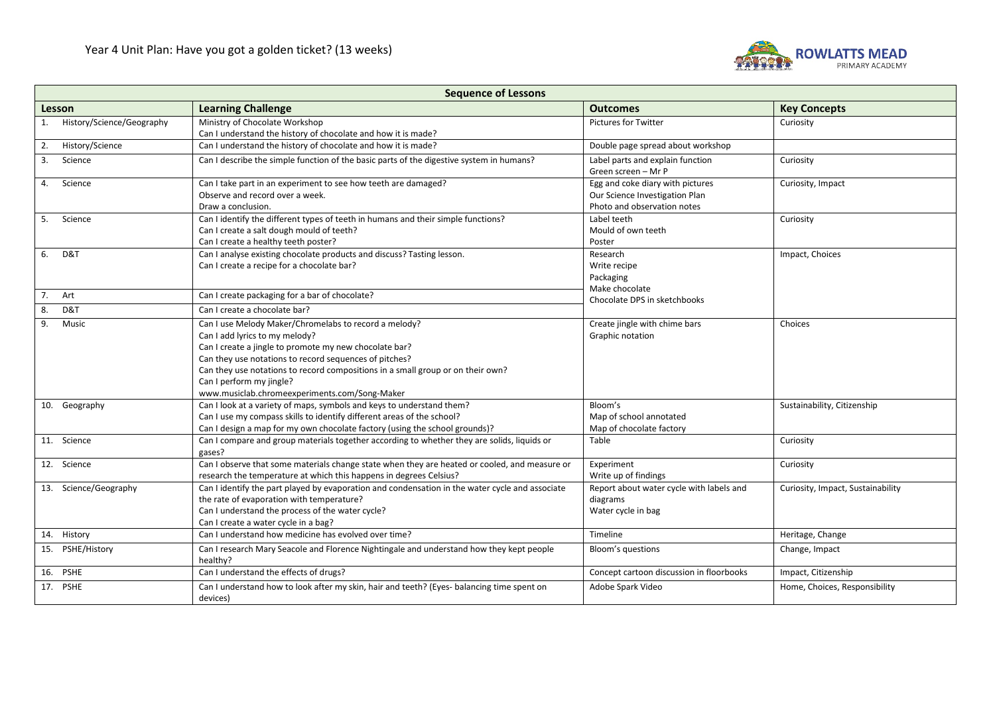

| <b>Sequence of Lessons</b>                                                    |                                                                                                                                                                                                                                                                                                                                                                             |                                                                                                   |                                   |
|-------------------------------------------------------------------------------|-----------------------------------------------------------------------------------------------------------------------------------------------------------------------------------------------------------------------------------------------------------------------------------------------------------------------------------------------------------------------------|---------------------------------------------------------------------------------------------------|-----------------------------------|
| <b>Learning Challenge</b><br><b>Outcomes</b><br><b>Key Concepts</b><br>Lesson |                                                                                                                                                                                                                                                                                                                                                                             |                                                                                                   |                                   |
| History/Science/Geography<br>1.                                               | Ministry of Chocolate Workshop<br>Can I understand the history of chocolate and how it is made?                                                                                                                                                                                                                                                                             | <b>Pictures for Twitter</b>                                                                       | Curiosity                         |
| History/Science<br>2.                                                         | Can I understand the history of chocolate and how it is made?                                                                                                                                                                                                                                                                                                               | Double page spread about workshop                                                                 |                                   |
| Science<br>3.                                                                 | Can I describe the simple function of the basic parts of the digestive system in humans?                                                                                                                                                                                                                                                                                    | Label parts and explain function<br>Green screen - Mr P                                           | Curiosity                         |
| 4. Science                                                                    | Can I take part in an experiment to see how teeth are damaged?<br>Observe and record over a week.<br>Draw a conclusion.                                                                                                                                                                                                                                                     | Egg and coke diary with pictures<br>Our Science Investigation Plan<br>Photo and observation notes | Curiosity, Impact                 |
| 5. Science                                                                    | Can I identify the different types of teeth in humans and their simple functions?<br>Can I create a salt dough mould of teeth?<br>Can I create a healthy teeth poster?                                                                                                                                                                                                      | Label teeth<br>Mould of own teeth<br>Poster                                                       | Curiosity                         |
| D&T<br>6.                                                                     | Can I analyse existing chocolate products and discuss? Tasting lesson.<br>Can I create a recipe for a chocolate bar?                                                                                                                                                                                                                                                        | Research<br>Write recipe<br>Packaging<br>Make chocolate                                           | Impact, Choices                   |
| 7. Art                                                                        | Can I create packaging for a bar of chocolate?                                                                                                                                                                                                                                                                                                                              | Chocolate DPS in sketchbooks                                                                      |                                   |
| 8.<br>D&T                                                                     | Can I create a chocolate bar?                                                                                                                                                                                                                                                                                                                                               |                                                                                                   |                                   |
| 9.<br>Music                                                                   | Can I use Melody Maker/Chromelabs to record a melody?<br>Can I add lyrics to my melody?<br>Can I create a jingle to promote my new chocolate bar?<br>Can they use notations to record sequences of pitches?<br>Can they use notations to record compositions in a small group or on their own?<br>Can I perform my jingle?<br>www.musiclab.chromeexperiments.com/Song-Maker | Create jingle with chime bars<br>Graphic notation                                                 | Choices                           |
| 10. Geography                                                                 | Can I look at a variety of maps, symbols and keys to understand them?<br>Can I use my compass skills to identify different areas of the school?<br>Can I design a map for my own chocolate factory (using the school grounds)?                                                                                                                                              | Bloom's<br>Map of school annotated<br>Map of chocolate factory                                    | Sustainability, Citizenship       |
| 11. Science                                                                   | Can I compare and group materials together according to whether they are solids, liquids or<br>gases?                                                                                                                                                                                                                                                                       | Table                                                                                             | Curiosity                         |
| 12. Science                                                                   | Can I observe that some materials change state when they are heated or cooled, and measure or<br>research the temperature at which this happens in degrees Celsius?                                                                                                                                                                                                         | Experiment<br>Write up of findings                                                                | Curiosity                         |
| 13. Science/Geography                                                         | Can I identify the part played by evaporation and condensation in the water cycle and associate<br>the rate of evaporation with temperature?<br>Can I understand the process of the water cycle?<br>Can I create a water cycle in a bag?                                                                                                                                    | Report about water cycle with labels and<br>diagrams<br>Water cycle in bag                        | Curiosity, Impact, Sustainability |
| 14. History                                                                   | Can I understand how medicine has evolved over time?                                                                                                                                                                                                                                                                                                                        | Timeline                                                                                          | Heritage, Change                  |
| 15. PSHE/History                                                              | Can I research Mary Seacole and Florence Nightingale and understand how they kept people<br>healthy?                                                                                                                                                                                                                                                                        | Bloom's questions                                                                                 | Change, Impact                    |
| 16. PSHE                                                                      | Can I understand the effects of drugs?                                                                                                                                                                                                                                                                                                                                      | Concept cartoon discussion in floorbooks                                                          | Impact, Citizenship               |
| $17.$ PSHE                                                                    | Can I understand how to look after my skin, hair and teeth? (Eyes- balancing time spent on<br>devices)                                                                                                                                                                                                                                                                      | Adobe Spark Video                                                                                 | Home, Choices, Responsibility     |